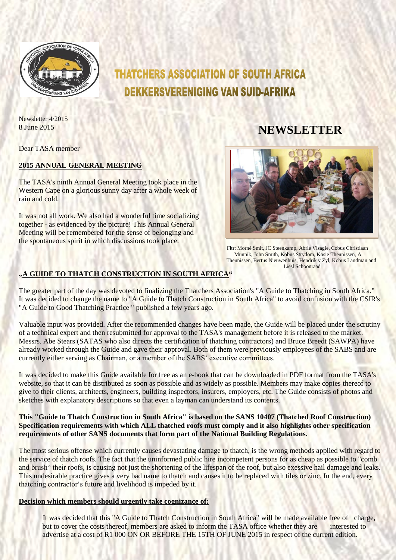

# **THATCHERS ASSOCIATION OF SOUTH AFRICA DEKKERSVERENIGING VAN SUID-AFRIKA**

Newsletter 4/2015

8 June 2015 **NEWSLETTER** 

Dear TASA member

# **2015 ANNUAL GENERAL MEETING**

The TASA's ninth Annual General Meeting took place in the Western Cape on a glorious sunny day after a whole week of rain and cold.

It was not all work. We also had a wonderful time socializing together - as evidenced by the picture! This Annual General Meeting will be remembered for the sense of belonging and the spontaneous spirit in which discussions took place.



Fltr: Morné Smit, JC Steenkamp, Abrie Visagie, Cobus Christiaan Munnik, John Smith, Kobus Strydom, Kosie Theunissen, A Theunissen, Bertus Nieuwenhuis, Hendrik v Zyl, Kobus Landman and Liesl Schoonraad

# **"A GUIDE TO THATCH CONSTRUCTION IN SOUTH AFRICA"**

The greater part of the day was devoted to finalizing the Thatchers Association's "A Guide to Thatching in South Africa." It was decided to change the name to "A Guide to Thatch Construction in South Africa" to avoid confusion with the CSIR's "A Guide to Good Thatching Practice " published a few years ago.

Valuable input was provided. After the recommended changes have been made, the Guide will be placed under the scrutiny of a technical expert and then resubmitted for approval to the TASA's management before it is released to the market. Messrs. Abe Stears (SATAS who also directs the certification of thatching contractors) and Bruce Breedt (SAWPA) have already worked through the Guide and gave their approval. Both of them were previously employees of the SABS and are currently either serving as Chairman, or a member of the SABS' executive committees.

It was decided to make this Guide available for free as an e-book that can be downloaded in PDF format from the TASA's website, so that it can be distributed as soon as possible and as widely as possible. Members may make copies thereof to give to their clients, architects, engineers, building inspectors, insurers, employers, etc. The Guide consists of photos and sketches with explanatory descriptions so that even a layman can understand its contents.

### **This "Guide to Thatch Construction in South Africa" is based on the SANS 10407 (Thatched Roof Construction) Specification requirements with which ALL thatched roofs must comply and it also highlights other specification requirements of other SANS documents that form part of the National Building Regulations.**

The most serious offense which currently causes devastating damage to thatch, is the wrong methods applied with regard to the service of thatch roofs. The fact that the uninformed public hire incompetent persons for as cheap as possible to "comb and brush" their roofs, is causing not just the shortening of the lifespan of the roof, but also exessive hail damage and leaks. This undesirable practice gives a very bad name to thatch and causes it to be replaced with tiles or zinc. In the end, every thatching contractor's future and livelihood is impeded by it.

# **Decision which members should urgently take cognizance of:**

It was decided that this "A Guide to Thatch Construction in South Africa" will be made available free of charge, but to cover the costs thereof, members are asked to inform the TASA office whether they are interested to advertise at a cost of R1 000 ON OR BEFORE THE 15TH OF JUNE 2015 in respect of the current edition.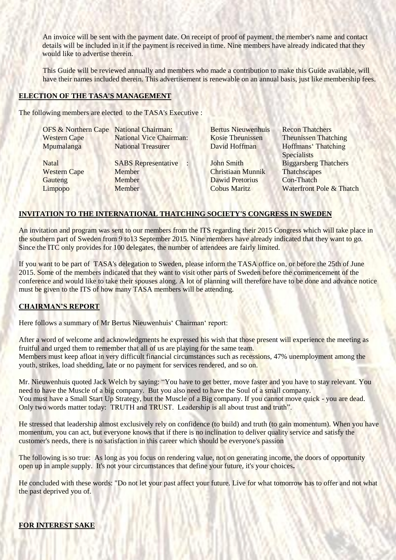An invoice will be sent with the payment date. On receipt of proof of payment, the member's name and contact details will be included in it if the payment is received in time. Nine members have already indicated that they would like to advertise therein.

This Guide will be reviewed annually and members who made a contribution to make this Guide available, will have their names included therein. This advertisement is renewable on an annual basis, just like membership fees.

#### **ELECTION OF THE TASA'S MANAGEMENT**

**COMMONS** 

The following members are elected to the TASA's Executive :

| OFS & Northern Cape National Chairman: |                                | <b>Bertus Nieuwenhuis</b> | <b>Recon Thatchers</b>                    |
|----------------------------------------|--------------------------------|---------------------------|-------------------------------------------|
| <b>Western Cape</b>                    | <b>National Vice Chairman:</b> | <b>Kosie Theunissen</b>   | <b>Theunissen Thatching</b>               |
| Mpumalanga                             | <b>National Treasurer</b>      | David Hoffman             | Hoffmans' Thatching<br><b>Specialists</b> |
| <b>Natal</b>                           | <b>SABS</b> Representative     | <b>John Smith</b>         | <b>Biggarsberg Thatchers</b>              |
| <b>Western Cape</b>                    | Member                         | <b>Christiaan Munnik</b>  | Thatchscapes                              |
| Gauteng                                | Member                         | <b>Dawid Pretorius</b>    | Con-Thatch                                |
| Limpopo                                | Member                         | <b>Cobus Maritz</b>       | Waterfront Pole & Thatch                  |

# **INVITATION TO THE INTERNATIONAL THATCHING SOCIETY'S CONGRESS IN SWEDEN**

An invitation and program was sent to our members from the ITS regarding their 2015 Congress which will take place in the southern part of Sweden from 9 to13 September 2015. Nine members have already indicated that they want to go. Since the ITC only provides for 100 delegates, the number of attendees are fairly limited.

If you want to be part of TASA's delegation to Sweden, please inform the TASA office on, or before the 25th of June 2015. Some of the members indicated that they want to visit other parts of Sweden before the commencement of the conference and would like to take their spouses along. A lot of planning will therefore have to be done and advance notice must be given to the ITS of how many TASA members will be attending.

# **CHAIRMAN'S REPORT**

Here follows a summary of Mr Bertus Nieuwenhuis' Chairman' report:

After a word of welcome and acknowledgments he expressed his wish that those present will experience the meeting as fruitful and urged them to remember that all of us are playing for the same team.

Members must keep afloat in very difficult financial circumstances such as recessions, 47% unemployment among the youth, strikes, load shedding, late or no payment for services rendered, and so on.

Mr. Nieuwenhuis quoted Jack Welch by saying: "You have to get better, move faster and you have to stay relevant. You need to have the Muscle of a big company. But you also need to have the Soul of a small company. You must have a Small Start Up Strategy, but the Muscle of a Big company. If you cannot move quick - you are dead. Only two words matter today: TRUTH and TRUST. Leadership is all about trust and truth".

He stressed that leadership almost exclusively rely on confidence (to build) and truth (to gain momentum). When you have momentum, you can act, but everyone knows that if there is no inclination to deliver quality service and satisfy the customer's needs, there is no satisfaction in this career which should be everyone's passion

The following is so true: As long as you focus on rendering value, not on generating income, the doors of opportunity open up in ample supply.It's not your circumstances that define your future, it's your choices**.**

He concluded with these words: "Do not let your past affect your future. Live for what tomorrow has to offer and not what the past deprived you of.

#### **FOR INTEREST SAKE**